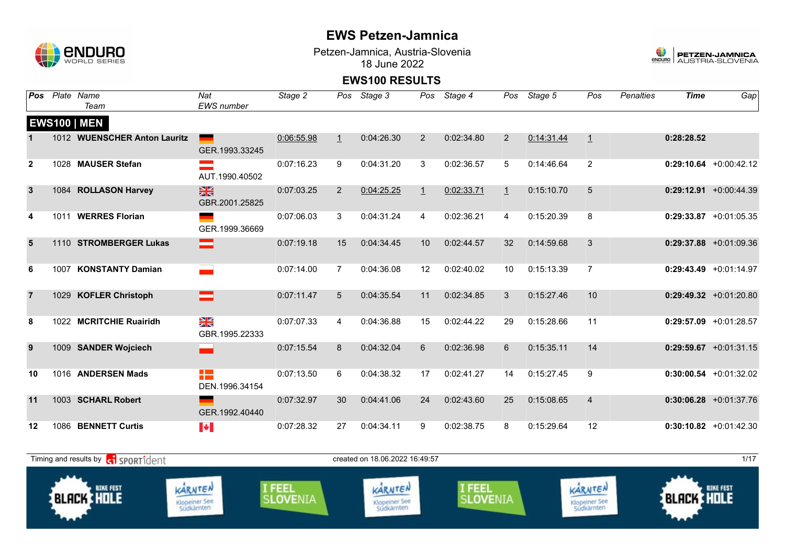

Petzen-Jamnica, Austria-Slovenia 18 June 2022



| Pos            | Plate Name<br>Team           | Nat<br>EWS number               | Stage 2    | Pos            | Stage 3    |              | Pos Stage 4 |              | Pos Stage 5 | Pos            | <b>Penalties</b> | <b>Time</b> | Gap                       |
|----------------|------------------------------|---------------------------------|------------|----------------|------------|--------------|-------------|--------------|-------------|----------------|------------------|-------------|---------------------------|
|                | <b>EWS100   MEN</b>          |                                 |            |                |            |              |             |              |             |                |                  |             |                           |
|                | 1012 WUENSCHER Anton Lauritz | GER.1993.33245                  | 0:06:55.98 | $\perp$        | 0:04:26.30 | 2            | 0:02:34.80  | 2            | 0:14:31.44  | $\overline{1}$ |                  | 0:28:28.52  |                           |
| $\mathbf{2}$   | 1028 MAUSER Stefan           | AUT.1990.40502                  | 0:07:16.23 | 9              | 0:04:31.20 | 3            | 0:02:36.57  | 5            | 0:14:46.64  | 2              |                  |             | $0:29:10.64$ +0:00:42.12  |
| $\mathbf{3}$   | 1084 ROLLASON Harvey         | $\frac{N}{N}$<br>GBR.2001.25825 | 0:07:03.25 | 2              | 0:04:25.25 | $\mathbf{1}$ | 0:02:33.71  | $\mathbf{1}$ | 0:15:10.70  | 5              |                  |             | $0:29:12.91 + 0:00:44.39$ |
| 4              | 1011 WERRES Florian          | GER.1999.36669                  | 0:07:06.03 | 3              | 0:04:31.24 | 4            | 0:02:36.21  | 4            | 0:15:20.39  | 8              |                  |             | $0:29:33.87$ +0:01:05.35  |
| 5              | 1110 STROMBERGER Lukas       |                                 | 0:07:19.18 | 15             | 0:04:34.45 | 10           | 0:02:44.57  | 32           | 0:14:59.68  | 3              |                  |             | $0:29:37.88$ +0:01:09.36  |
| 6              | 1007 KONSTANTY Damian        |                                 | 0:07:14.00 | $\overline{7}$ | 0:04:36.08 | 12           | 0:02:40.02  | 10           | 0:15:13.39  | $\overline{7}$ |                  |             | $0:29:43.49 +0:01:14.97$  |
| $\overline{7}$ | 1029 KOFLER Christoph        | =                               | 0:07:11.47 | 5              | 0:04:35.54 | 11           | 0:02:34.85  | 3            | 0:15:27.46  | 10             |                  |             | $0:29:49.32$ +0:01:20.80  |
| 8              | 1022 MCRITCHIE Ruairidh      | ≫K<br>ZK<br>GBR.1995.22333      | 0:07:07.33 | 4              | 0:04:36.88 | 15           | 0:02:44.22  | 29           | 0:15:28.66  | 11             |                  |             | $0:29:57.09$ +0:01:28.57  |
| 9              | 1009 SANDER Wojciech         |                                 | 0:07:15.54 | 8              | 0:04:32.04 | 6            | 0:02:36.98  | 6            | 0:15:35.11  | 14             |                  |             | $0:29:59.67$ +0:01:31.15  |
| 10             | 1016 ANDERSEN Mads           | H -<br>DEN.1996.34154           | 0:07:13.50 | 6              | 0:04:38.32 | 17           | 0:02:41.27  | 14           | 0:15:27.45  | 9              |                  |             | $0:30:00.54$ +0:01:32.02  |
| 11             | 1003 SCHARL Robert           | GER.1992.40440                  | 0:07:32.97 | 30             | 0:04:41.06 | 24           | 0:02:43.60  | 25           | 0:15:08.65  | $\overline{4}$ |                  |             | $0:30:06.28$ +0:01:37.76  |
| 12             | 1086 BENNETT Curtis          | $\left\  \cdot \right\ $        | 0:07:28.32 | 27             | 0:04:34.11 | 9            | 0:02:38.75  | 8            | 0:15:29.64  | 12             |                  |             | $0:30:10.82 +0:01:42.30$  |

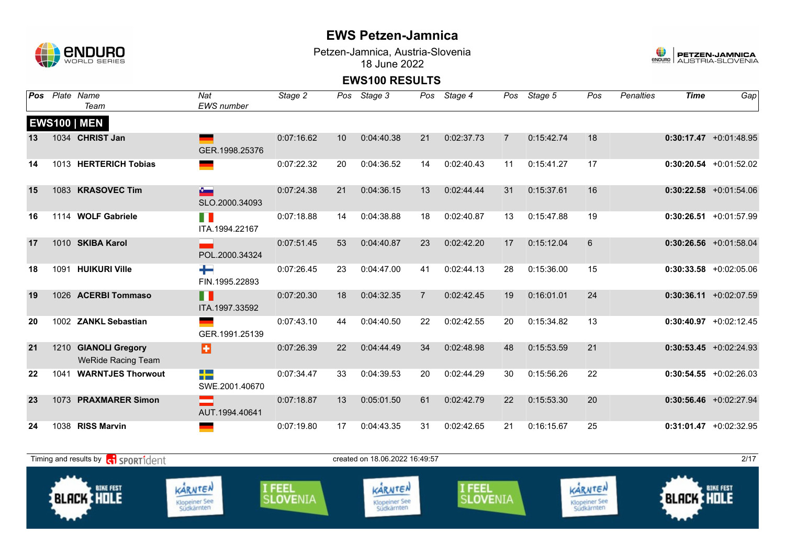### **CNDURO** 1

### **EWS Petzen-Jamnica**

Petzen-Jamnica, Austria-Slovenia 18 June 2022



| Pos |      | Plate Name<br>Team                                  | Nat<br><b>EWS</b> number       | Stage 2    | Pos | Stage 3    | Pos            | Stage 4    | Pos            | Stage 5    | Pos | <b>Penalties</b> | <b>Time</b> | Gap                       |
|-----|------|-----------------------------------------------------|--------------------------------|------------|-----|------------|----------------|------------|----------------|------------|-----|------------------|-------------|---------------------------|
|     |      | <b>EWS100   MEN</b>                                 |                                |            |     |            |                |            |                |            |     |                  |             |                           |
| 13  |      | 1034 CHRIST Jan                                     | GER.1998.25376                 | 0:07:16.62 | 10  | 0:04:40.38 | 21             | 0:02:37.73 | $\overline{7}$ | 0:15:42.74 | 18  |                  |             | $0:30:17.47 + 0:01:48.95$ |
| 14  |      | 1013 HERTERICH Tobias                               |                                | 0:07:22.32 | 20  | 0:04:36.52 | 14             | 0:02:40.43 | 11             | 0:15:41.27 | 17  |                  |             | $0:30:20.54$ +0:01:52.02  |
| 15  |      | 1083 KRASOVEC Tim                                   | $\Delta$<br>SLO.2000.34093     | 0:07:24.38 | 21  | 0:04:36.15 | 13             | 0:02:44.44 | 31             | 0:15:37.61 | 16  |                  |             | $0:30:22.58$ +0:01:54.06  |
| 16  |      | 1114 WOLF Gabriele                                  | H<br>ITA.1994.22167            | 0:07:18.88 | 14  | 0:04:38.88 | 18             | 0:02:40.87 | 13             | 0:15:47.88 | 19  |                  |             | $0:30:26.51$ +0:01:57.99  |
| 17  |      | 1010 SKIBA Karol                                    | POL.2000.34324                 | 0:07:51.45 | 53  | 0:04:40.87 | 23             | 0:02:42.20 | 17             | 0:15:12.04 | 6   |                  |             | $0:30:26.56$ +0:01:58.04  |
| 18  | 1091 | <b>HUIKURI Ville</b>                                | ┿<br>FIN.1995.22893            | 0:07:26.45 | 23  | 0:04:47.00 | 41             | 0:02:44.13 | 28             | 0:15:36.00 | 15  |                  |             | $0:30:33.58$ +0:02:05.06  |
| 19  |      | 1026 ACERBI Tommaso                                 | H<br>ITA.1997.33592            | 0:07:20.30 | 18  | 0:04:32.35 | $\overline{7}$ | 0:02:42.45 | 19             | 0:16:01.01 | 24  |                  |             | $0:30:36.11 + 0:02:07.59$ |
| 20  |      | 1002 ZANKL Sebastian                                | GER.1991.25139                 | 0:07:43.10 | 44  | 0:04:40.50 | 22             | 0:02:42.55 | 20             | 0:15:34.82 | 13  |                  |             | $0:30:40.97$ +0:02:12.45  |
| 21  | 1210 | <b>GIANOLI Gregory</b><br><b>WeRide Racing Team</b> | B                              | 0:07:26.39 | 22  | 0:04:44.49 | 34             | 0:02:48.98 | 48             | 0:15:53.59 | 21  |                  |             | $0:30:53.45 + 0:02:24.93$ |
| 22  | 1041 | <b>WARNTJES Thorwout</b>                            | 루 <u>- 3</u><br>SWE.2001.40670 | 0:07:34.47 | 33  | 0:04:39.53 | 20             | 0:02:44.29 | 30             | 0:15:56.26 | 22  |                  |             | $0:30:54.55 + 0:02:26.03$ |
| 23  |      | 1073 PRAXMARER Simon                                | AUT.1994.40641                 | 0:07:18.87 | 13  | 0:05:01.50 | 61             | 0:02:42.79 | 22             | 0:15:53.30 | 20  |                  |             | $0:30:56.46$ +0:02:27.94  |
| 24  |      | 1038 RISS Marvin                                    |                                | 0:07:19.80 | 17  | 0:04:43.35 | 31             | 0:02:42.65 | 21             | 0:16:15.67 | 25  |                  |             | $0:31:01.47$ +0:02:32.95  |

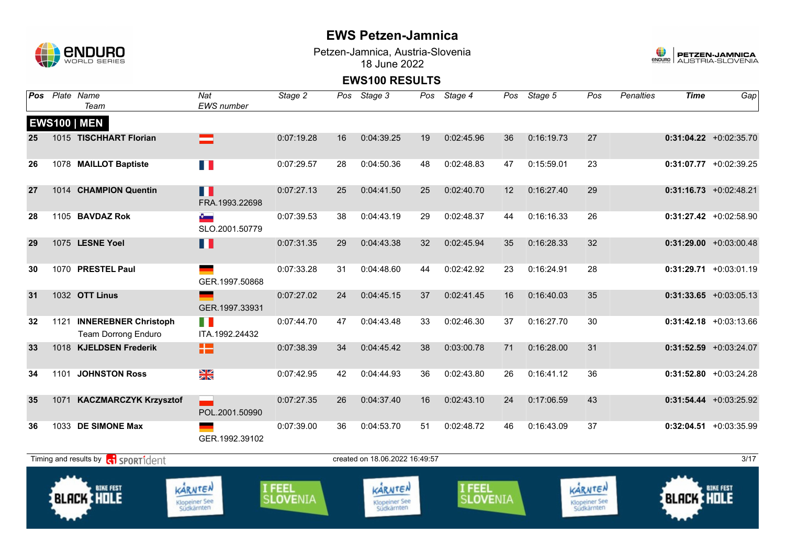

Petzen-Jamnica, Austria-Slovenia 18 June 2022



| <b>Pos</b> | Plate Name<br>Team                                      | Nat<br><b>EWS</b> number               | Stage 2            | Pos | Stage 3                                | Pos | Stage 4            | Pos | Stage 5    | Pos                                    | <b>Penalties</b> | <b>Time</b>       | Gap                       |
|------------|---------------------------------------------------------|----------------------------------------|--------------------|-----|----------------------------------------|-----|--------------------|-----|------------|----------------------------------------|------------------|-------------------|---------------------------|
|            | <b>EWS100   MEN</b>                                     |                                        |                    |     |                                        |     |                    |     |            |                                        |                  |                   |                           |
| 25         | 1015 TISCHHART Florian                                  | ▅                                      | 0:07:19.28         | 16  | 0:04:39.25                             | 19  | 0:02:45.96         | 36  | 0:16:19.73 | 27                                     |                  |                   | $0:31:04.22$ +0:02:35.70  |
| 26         | 1078 MAILLOT Baptiste                                   | T P                                    | 0:07:29.57         | 28  | 0:04:50.36                             | 48  | 0:02:48.83         | 47  | 0:15:59.01 | 23                                     |                  |                   | $0:31:07.77$ +0:02:39.25  |
| 27         | 1014 CHAMPION Quentin                                   | П<br>FRA.1993.22698                    | 0:07:27.13         | 25  | 0:04:41.50                             | 25  | 0:02:40.70         | 12  | 0:16:27.40 | 29                                     |                  |                   | $0:31:16.73 + 0:02:48.21$ |
| 28         | 1105 BAVDAZ Rok                                         | $\sigma$<br>SLO.2001.50779             | 0:07:39.53         | 38  | 0:04:43.19                             | 29  | 0:02:48.37         | 44  | 0:16:16.33 | 26                                     |                  |                   | $0:31:27.42$ +0:02:58.90  |
| 29         | 1075 LESNE Yoel                                         | Ш                                      | 0:07:31.35         | 29  | 0:04:43.38                             | 32  | 0:02:45.94         | 35  | 0:16:28.33 | 32                                     |                  |                   | $0:31:29.00 +0:03:00.48$  |
| 30         | 1070 PRESTEL Paul                                       | GER.1997.50868                         | 0:07:33.28         | 31  | 0:04:48.60                             | 44  | 0:02:42.92         | 23  | 0:16:24.91 | 28                                     |                  |                   | $0:31:29.71 + 0:03:01.19$ |
| 31         | 1032 OTT Linus                                          | GER.1997.33931                         | 0:07:27.02         | 24  | 0:04:45.15                             | 37  | 0:02:41.45         | 16  | 0:16:40.03 | 35                                     |                  |                   | $0:31:33.65$ +0:03:05.13  |
| 32         | 1121 INNEREBNER Christoph<br><b>Team Dorrong Enduro</b> | T N<br>ITA.1992.24432                  | 0:07:44.70         | 47  | 0:04:43.48                             | 33  | 0:02:46.30         | 37  | 0:16:27.70 | 30                                     |                  |                   | $0:31:42.18$ +0:03:13.66  |
| 33         | 1018 KJELDSEN Frederik                                  | 12                                     | 0:07:38.39         | 34  | 0:04:45.42                             | 38  | 0:03:00.78         | 71  | 0:16:28.00 | 31                                     |                  |                   | $0:31:52.59$ +0:03:24.07  |
| 34         | 1101 JOHNSTON Ross                                      | ×k<br>X                                | 0:07:42.95         | 42  | 0:04:44.93                             | 36  | 0:02:43.80         | 26  | 0:16:41.12 | 36                                     |                  |                   | $0:31:52.80 +0:03:24.28$  |
| 35         | 1071 KACZMARCZYK Krzysztof                              | POL.2001.50990                         | 0:07:27.35         | 26  | 0:04:37.40                             | 16  | 0:02:43.10         | 24  | 0:17:06.59 | 43                                     |                  |                   | $0:31:54.44 + 0:03:25.92$ |
| 36         | 1033 DE SIMONE Max                                      | GER.1992.39102                         | 0:07:39.00         | 36  | 0:04:53.70                             | 51  | 0:02:48.72         | 46  | 0:16:43.09 | 37                                     |                  |                   | $0:32:04.51$ +0:03:35.99  |
|            | Timing and results by ci SPORT1dent                     |                                        |                    |     | created on 18.06.2022 16.49:57         |     |                    |     |            |                                        |                  |                   | 3/17                      |
|            | <b>BIKE FEST</b><br><b>BLACK HOLE</b>                   | KARNTEN<br>Klopeiner See<br>Südkärnten | I FEEL<br>SLOVENIA |     | KARNTEN<br>Klopeiner See<br>Südkärnten |     | I FEEL<br>SLOVENIA |     |            | KARNTEN<br>Klopeiner See<br>Südkärnten |                  | <b>BLACK HOLE</b> | <b>BIKE FEST</b>          |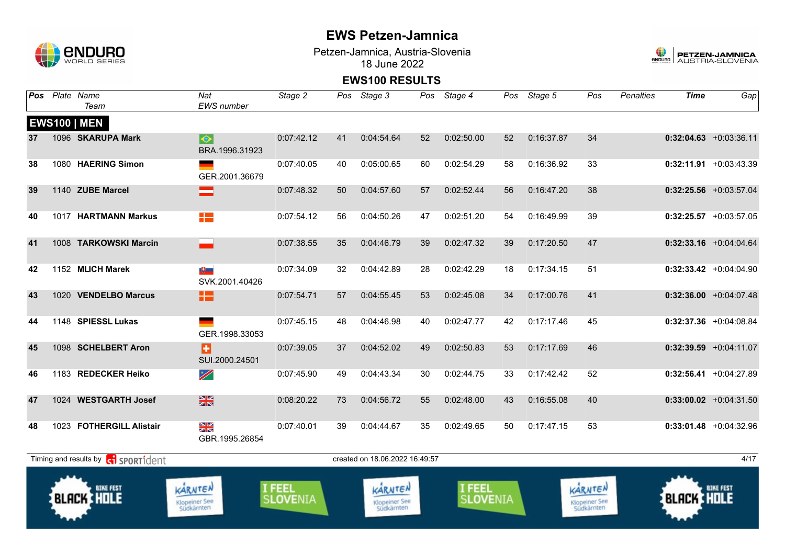

Petzen-Jamnica, Austria-Slovenia 18 June 2022



| Pos | Plate Name<br>Team                    | Nat<br><b>EWS</b> number               | Stage 2            |    | Pos Stage 3                            | Pos | Stage 4            |    | Pos Stage 5 | Pos                                    | <b>Penalties</b> | <b>Time</b>       | Gap                       |
|-----|---------------------------------------|----------------------------------------|--------------------|----|----------------------------------------|-----|--------------------|----|-------------|----------------------------------------|------------------|-------------------|---------------------------|
|     | <b>EWS100   MEN</b>                   |                                        |                    |    |                                        |     |                    |    |             |                                        |                  |                   |                           |
| 37  | 1096 SKARUPA Mark                     | $\blacklozenge$<br>BRA.1996.31923      | 0:07:42.12         | 41 | 0:04:54.64                             | 52  | 0:02:50.00         | 52 | 0:16:37.87  | 34                                     |                  |                   | $0:32:04.63$ +0:03:36.11  |
| 38  | 1080 HAERING Simon                    | GER.2001.36679                         | 0:07:40.05         | 40 | 0:05:00.65                             | 60  | 0:02:54.29         | 58 | 0:16:36.92  | 33                                     |                  |                   | $0:32:11.91$ +0:03:43.39  |
| 39  | 1140 ZUBE Marcel                      | =                                      | 0:07:48.32         | 50 | 0:04:57.60                             | 57  | 0:02:52.44         | 56 | 0:16:47.20  | 38                                     |                  |                   | $0:32:25.56$ +0:03:57.04  |
| 40  | 1017 HARTMANN Markus                  | +2                                     | 0:07:54.12         | 56 | 0:04:50.26                             | 47  | 0:02:51.20         | 54 | 0:16:49.99  | 39                                     |                  |                   | $0:32:25.57$ +0:03:57.05  |
| 41  | 1008 TARKOWSKI Marcin                 |                                        | 0:07:38.55         | 35 | 0:04:46.79                             | 39  | 0:02:47.32         | 39 | 0:17:20.50  | 47                                     |                  |                   | $0:32:33.16$ +0:04:04.64  |
| 42  | 1152 MLICH Marek                      | $\mathbf{E}$<br>SVK.2001.40426         | 0:07:34.09         | 32 | 0:04:42.89                             | 28  | 0:02:42.29         | 18 | 0:17:34.15  | 51                                     |                  |                   | $0:32:33.42$ +0:04:04.90  |
| 43  | 1020 VENDELBO Marcus                  | H٣                                     | 0:07:54.71         | 57 | 0:04:55.45                             | 53  | 0:02:45.08         | 34 | 0:17:00.76  | 41                                     |                  |                   | $0:32:36.00 +0:04:07.48$  |
| 44  | 1148 SPIESSL Lukas                    | GER.1998.33053                         | 0:07:45.15         | 48 | 0:04:46.98                             | 40  | 0:02:47.77         | 42 | 0:17:17.46  | 45                                     |                  |                   | $0:32:37.36$ +0:04:08.84  |
| 45  | 1098 SCHELBERT Aron                   | Ð<br>SUI.2000.24501                    | 0:07:39.05         | 37 | 0:04:52.02                             | 49  | 0:02:50.83         | 53 | 0:17:17.69  | 46                                     |                  |                   | $0:32:39.59$ +0:04:11.07  |
| 46  | 1183 REDECKER Heiko                   | $\overline{\mathscr{L}}$               | 0:07:45.90         | 49 | 0:04:43.34                             | 30  | 0:02:44.75         | 33 | 0:17:42.42  | 52                                     |                  |                   | $0:32:56.41 + 0:04:27.89$ |
| 47  | 1024 WESTGARTH Josef                  | $\frac{N}{N}$                          | 0:08:20.22         | 73 | 0:04:56.72                             | 55  | 0:02:48.00         | 43 | 0:16:55.08  | 40                                     |                  |                   | $0:33:00.02$ +0:04:31.50  |
| 48  | 1023 FOTHERGILL Alistair              | N<br>X<br>GBR.1995.26854               | 0:07:40.01         | 39 | 0:04:44.67                             | 35  | 0:02:49.65         | 50 | 0:17:47.15  | 53                                     |                  |                   | $0:33:01.48$ +0:04:32.96  |
|     | Timing and results by ci SPORT1dent   |                                        |                    |    | created on 18.06.2022 16.49.57         |     |                    |    |             |                                        |                  |                   | 4/17                      |
|     | <b>BIKE FEST</b><br><b>BLACK HOLE</b> | KARNTEN<br>Klopeiner See<br>Südkärnten | I FEEL<br>SLOVENIA |    | KARNTEN<br>Klopeiner See<br>Südkärnten |     | I FEEL<br>SLOVENIA |    |             | KARNTEN<br>Klopeiner See<br>Südkärnten |                  | <b>BLACK HOLE</b> | <b>BIKE FEST</b>          |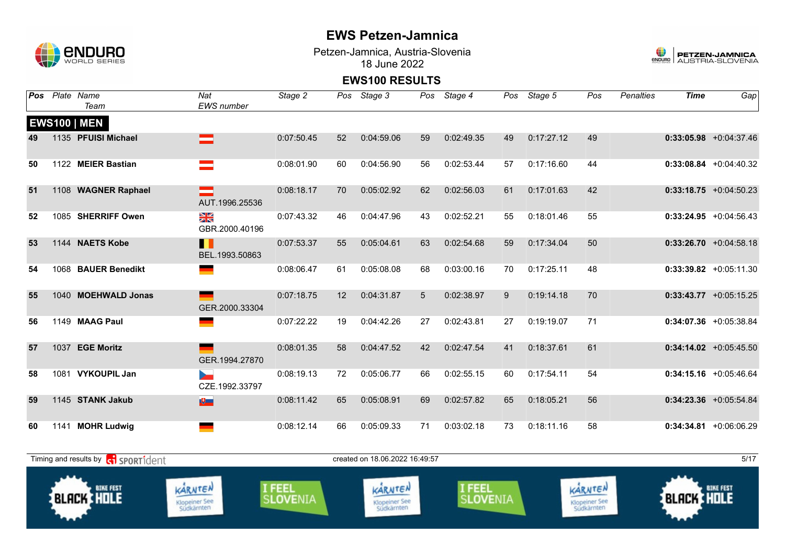

Klopeiner See<br>Südkärnten

Petzen-Jamnica, Austria-Slovenia 18 June 2022



### **EWS100 RESULTS**

|    |      | Pos Plate Name<br>Team                      | Nat<br><b>EWS</b> number        | Stage 2                          |    | Pos Stage 3                     | Pos | Stage 4                          | Pos | Stage 5    | Pos                             | Penalties | <b>Time</b>       | Gap                       |
|----|------|---------------------------------------------|---------------------------------|----------------------------------|----|---------------------------------|-----|----------------------------------|-----|------------|---------------------------------|-----------|-------------------|---------------------------|
|    |      | <b>EWS100   MEN</b>                         |                                 |                                  |    |                                 |     |                                  |     |            |                                 |           |                   |                           |
| 49 |      | 1135 PFUISI Michael                         | $\equiv$                        | 0:07:50.45                       | 52 | 0:04:59.06                      | 59  | 0:02:49.35                       | 49  | 0:17:27.12 | 49                              |           |                   | $0:33:05.98$ +0:04:37.46  |
| 50 |      | 1122 MEIER Bastian                          |                                 | 0:08:01.90                       | 60 | 0:04:56.90                      | 56  | 0:02:53.44                       | 57  | 0:17:16.60 | 44                              |           |                   | $0:33:08.84$ +0:04:40.32  |
| 51 |      | 1108 WAGNER Raphael                         | AUT.1996.25536                  | 0:08:18.17                       | 70 | 0:05:02.92                      | 62  | 0:02:56.03                       | 61  | 0:17:01.63 | 42                              |           |                   | $0:33:18.75$ +0:04:50.23  |
| 52 |      | 1085 SHERRIFF Owen                          | N<br>X<br>GBR.2000.40196        | 0:07:43.32                       | 46 | 0:04:47.96                      | 43  | 0:02:52.21                       | 55  | 0:18:01.46 | 55                              |           |                   | $0:33:24.95$ +0:04:56.43  |
| 53 |      | 1144 NAETS Kobe                             | H<br>BEL.1993.50863             | 0:07:53.37                       | 55 | 0:05:04.61                      | 63  | 0:02:54.68                       | 59  | 0:17:34.04 | 50                              |           |                   | $0:33:26.70 +0:04:58.18$  |
| 54 |      | 1068 BAUER Benedikt                         |                                 | 0:08:06.47                       | 61 | 0:05:08.08                      | 68  | 0:03:00.16                       | 70  | 0:17:25.11 | 48                              |           |                   | $0:33:39.82$ +0:05:11.30  |
| 55 |      | 1040 MOEHWALD Jonas                         | GER.2000.33304                  | 0:07:18.75                       | 12 | 0:04:31.87                      | 5   | 0:02:38.97                       | 9   | 0:19:14.18 | 70                              |           |                   | $0:33:43.77$ +0:05:15.25  |
| 56 |      | 1149 MAAG Paul                              |                                 | 0:07:22.22                       | 19 | 0:04:42.26                      | 27  | 0:02:43.81                       | 27  | 0:19:19.07 | 71                              |           |                   | $0:34:07.36$ +0:05:38.84  |
| 57 | 1037 | <b>EGE Moritz</b>                           | GER.1994.27870                  | 0:08:01.35                       | 58 | 0:04:47.52                      | 42  | 0:02:47.54                       | 41  | 0:18:37.61 | 61                              |           |                   | $0:34:14.02$ +0:05:45.50  |
| 58 |      | 1081 VYKOUPIL Jan                           | b.<br>CZE.1992.33797            | 0:08:19.13                       | 72 | 0:05:06.77                      | 66  | 0:02:55.15                       | 60  | 0:17:54.11 | 54                              |           |                   | $0:34:15.16$ +0:05:46.64  |
| 59 |      | 1145 STANK Jakub                            | $\mathbf{E}$                    | 0:08:11.42                       | 65 | 0:05:08.91                      | 69  | 0:02:57.82                       | 65  | 0:18:05.21 | 56                              |           |                   | $0:34:23.36$ +0:05:54.84  |
| 60 |      | 1141 MOHR Ludwig                            |                                 | 0:08:12.14                       | 66 | 0:05:09.33                      | 71  | 0:03:02.18                       | 73  | 0:18:11.16 | 58                              |           |                   | $0:34:34.81 + 0:06:06.29$ |
|    |      | Timing and results by <b>c</b> i sportident |                                 |                                  |    | created on 18.06.2022 16:49:57  |     |                                  |     |            |                                 |           |                   | 5/17                      |
|    |      | <b>BIKE FEST</b><br><b>BLACK HOLE</b>       | KARNTEN<br><b>Klopeiner See</b> | <b>I FEEL</b><br><b>SLOVENIA</b> |    | KARNTEN<br><b>Klopeiner See</b> |     | <b>I FEEL</b><br><b>SLOVENIA</b> |     |            | KARNTEN<br><b>Klopeiner See</b> |           | <b>BLACK HOLE</b> | <b>BIKE FEST</b>          |

Klopeiner See<br>Südkärnten

Klopeiner See<br>Südkärnten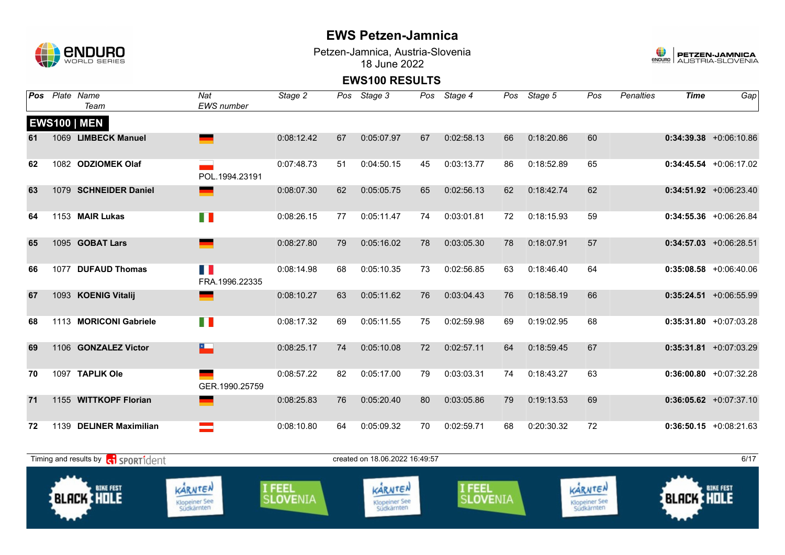

Klopeiner See<br>Südkärnten

Petzen-Jamnica, Austria-Slovenia 18 June 2022



#### **EWS100 RESULTS**

| Pos | Plate Name<br>Team                          | Nat<br><b>EWS</b> number        | Stage 2                   | Pos | Stage 3                         | Pos | Stage 4            | Pos | Stage 5    | Pos                             | <b>Penalties</b> | <b>Time</b>       | Gap                       |
|-----|---------------------------------------------|---------------------------------|---------------------------|-----|---------------------------------|-----|--------------------|-----|------------|---------------------------------|------------------|-------------------|---------------------------|
|     | <b>EWS100   MEN</b>                         |                                 |                           |     |                                 |     |                    |     |            |                                 |                  |                   |                           |
| 61  | 1069 LIMBECK Manuel                         |                                 | 0:08:12.42                | 67  | 0:05:07.97                      | 67  | 0:02:58.13         | 66  | 0:18:20.86 | 60                              |                  |                   | $0:34:39.38$ +0:06:10.86  |
| 62  | 1082 ODZIOMEK Olaf                          | POL.1994.23191                  | 0:07:48.73                | 51  | 0:04:50.15                      | 45  | 0:03:13.77         | 86  | 0:18:52.89 | 65                              |                  |                   | $0:34:45.54 + 0:06:17.02$ |
| 63  | 1079 SCHNEIDER Daniel                       |                                 | 0:08:07.30                | 62  | 0:05:05.75                      | 65  | 0:02:56.13         | 62  | 0:18:42.74 | 62                              |                  |                   | $0:34:51.92$ +0:06:23.40  |
| 64  | 1153 MAIR Lukas                             | T N                             | 0:08:26.15                | 77  | 0:05:11.47                      | 74  | 0:03:01.81         | 72  | 0:18:15.93 | 59                              |                  |                   | $0:34:55.36$ +0:06:26.84  |
| 65  | 1095 GOBAT Lars                             | <u>e a</u>                      | 0:08:27.80                | 79  | 0:05:16.02                      | 78  | 0:03:05.30         | 78  | 0:18:07.91 | 57                              |                  |                   | $0:34:57.03$ +0:06:28.51  |
| 66  | 1077 DUFAUD Thomas                          | n B<br>FRA.1996.22335           | 0:08:14.98                | 68  | 0:05:10.35                      | 73  | 0:02:56.85         | 63  | 0:18:46.40 | 64                              |                  |                   | $0:35:08.58$ +0:06:40.06  |
| 67  | 1093 KOENIG Vitalij                         |                                 | 0:08:10.27                | 63  | 0:05:11.62                      | 76  | 0:03:04.43         | 76  | 0:18:58.19 | 66                              |                  |                   | $0:35:24.51$ +0:06:55.99  |
| 68  | 1113 MORICONI Gabriele                      | H.                              | 0:08:17.32                | 69  | 0:05:11.55                      | 75  | 0:02:59.98         | 69  | 0:19:02.95 | 68                              |                  |                   | $0:35:31.80 + 0:07:03.28$ |
| 69  | 1106 GONZALEZ Victor                        | $\overline{\phantom{a}}$        | 0:08:25.17                | 74  | 0:05:10.08                      | 72  | 0:02:57.11         | 64  | 0:18:59.45 | 67                              |                  |                   | $0:35:31.81$ +0:07:03.29  |
| 70  | 1097 TAPLIK Ole                             | GER.1990.25759                  | 0:08:57.22                | 82  | 0:05:17.00                      | 79  | 0:03:03.31         | 74  | 0:18:43.27 | 63                              |                  |                   | $0:36:00.80 +0:07:32.28$  |
| 71  | 1155 WITTKOPF Florian                       |                                 | 0:08:25.83                | 76  | 0:05:20.40                      | 80  | 0:03:05.86         | 79  | 0:19:13.53 | 69                              |                  |                   | $0:36:05.62 +0:07:37.10$  |
| 72  | 1139 DELINER Maximilian                     | ▀                               | 0:08:10.80                | 64  | 0:05:09.32                      | 70  | 0:02:59.71         | 68  | 0:20:30.32 | 72                              |                  |                   | $0:36:50.15$ +0:08:21.63  |
|     | Timing and results by <b>c</b> o SPORT1dent |                                 |                           |     | created on 18.06.2022 16.49.57  |     |                    |     |            |                                 |                  |                   | 6/17                      |
|     | <b>BIKE FEST</b><br><b>BLACK SHOLE</b>      | KARNTEN<br><b>Klopeiner See</b> | I FEEL<br><b>SLOVENIA</b> |     | KARNTEN<br><b>Klopeiner See</b> |     | I FEEL<br>SLOVENIA |     |            | KARNTEN<br><b>Klopeiner See</b> |                  | <b>BLACK HOLE</b> | <b>BIKE FEST</b>          |

Klopeiner See<br>Südkärnten

Klopeiner See<br>Südkärnten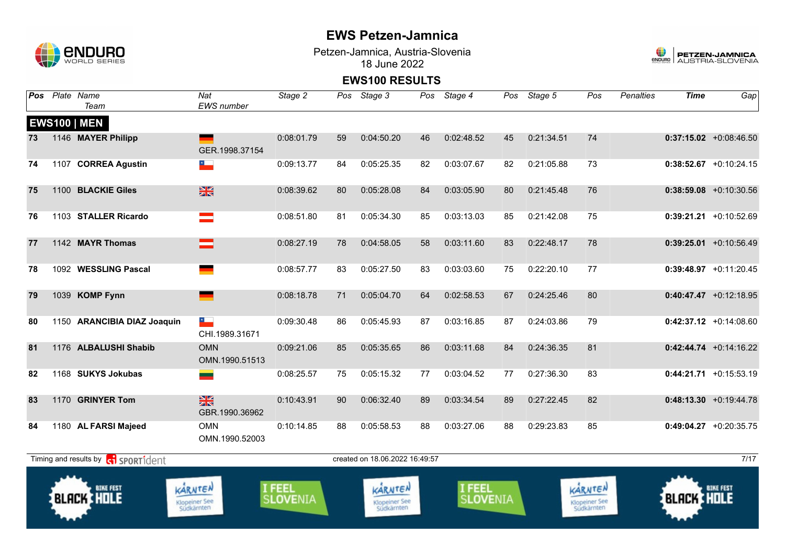

Petzen-Jamnica, Austria-Slovenia 18 June 2022



| Pos | Plate Name<br>Team                          | Nat<br><b>EWS</b> number                   | Stage 2            | Pos | Stage 3                                       | Pos | Stage 4            | Pos | Stage 5    | Pos                                    | <b>Penalties</b> | <b>Time</b>       | Gap                       |
|-----|---------------------------------------------|--------------------------------------------|--------------------|-----|-----------------------------------------------|-----|--------------------|-----|------------|----------------------------------------|------------------|-------------------|---------------------------|
|     | <b>EWS100   MEN</b>                         |                                            |                    |     |                                               |     |                    |     |            |                                        |                  |                   |                           |
| 73  | 1146 MAYER Philipp                          | GER.1998.37154                             | 0:08:01.79         | 59  | 0:04:50.20                                    | 46  | 0:02:48.52         | 45  | 0:21:34.51 | 74                                     |                  |                   | $0:37:15.02$ +0:08:46.50  |
| 74  | 1107 CORREA Agustin                         | $\star$                                    | 0:09:13.77         | 84  | 0:05:25.35                                    | 82  | 0:03:07.67         | 82  | 0:21:05.88 | 73                                     |                  |                   | $0:38:52.67$ +0:10:24.15  |
| 75  | 1100 BLACKIE Giles                          | $\frac{N}{N}$                              | 0:08:39.62         | 80  | 0:05:28.08                                    | 84  | 0:03:05.90         | 80  | 0:21:45.48 | 76                                     |                  |                   | $0:38:59.08$ +0:10:30.56  |
| 76  | 1103 STALLER Ricardo                        |                                            | 0:08:51.80         | 81  | 0:05:34.30                                    | 85  | 0:03:13.03         | 85  | 0:21:42.08 | 75                                     |                  |                   | $0:39:21.21$ +0:10:52.69  |
| 77  | 1142 MAYR Thomas                            |                                            | 0:08:27.19         | 78  | 0:04:58.05                                    | 58  | 0:03:11.60         | 83  | 0:22:48.17 | 78                                     |                  |                   | $0:39:25.01$ +0:10:56.49  |
| 78  | 1092 WESSLING Pascal                        |                                            | 0:08:57.77         | 83  | 0:05:27.50                                    | 83  | 0:03:03.60         | 75  | 0:22:20.10 | 77                                     |                  |                   | $0:39:48.97$ +0:11:20.45  |
| 79  | 1039 KOMP Fynn                              |                                            | 0:08:18.78         | 71  | 0:05:04.70                                    | 64  | 0:02:58.53         | 67  | 0:24:25.46 | 80                                     |                  |                   | $0:40:47.47$ +0:12:18.95  |
| 80  | 1150 ARANCIBIA DIAZ Joaquin                 | $\overline{\phantom{a}}$<br>CHI.1989.31671 | 0:09:30.48         | 86  | 0:05:45.93                                    | 87  | 0:03:16.85         | 87  | 0:24:03.86 | 79                                     |                  |                   | $0:42:37.12$ +0:14:08.60  |
| 81  | 1176 ALBALUSHI Shabib                       | <b>OMN</b><br>OMN.1990.51513               | 0:09:21.06         | 85  | 0:05:35.65                                    | 86  | 0:03:11.68         | 84  | 0:24:36.35 | 81                                     |                  |                   | $0:42:44.74 + 0:14:16.22$ |
| 82  | 1168 SUKYS Jokubas                          | ═                                          | 0:08:25.57         | 75  | 0:05:15.32                                    | 77  | 0:03:04.52         | 77  | 0:27:36.30 | 83                                     |                  |                   | $0:44:21.71$ +0:15:53.19  |
| 83  | 1170 GRINYER Tom                            | $\frac{N}{N}$<br>GBR.1990.36962            | 0:10:43.91         | 90  | 0:06:32.40                                    | 89  | 0:03:34.54         | 89  | 0:27:22.45 | 82                                     |                  |                   | $0:48:13.30 +0:19:44.78$  |
| 84  | 1180 AL FARSI Majeed                        | <b>OMN</b><br>OMN.1990.52003               | 0:10:14.85         | 88  | 0:05:58.53                                    | 88  | 0:03:27.06         | 88  | 0:29:23.83 | 85                                     |                  |                   | $0:49:04.27$ +0:20:35.75  |
|     | Timing and results by <b>c</b> i sportident |                                            |                    |     | created on 18.06.2022 16:49:57                |     |                    |     |            |                                        |                  |                   | 7/17                      |
|     | <b>BIKE FEST</b><br><b>BLACK HOLE</b>       | KARNTEN<br>Klopeiner See<br>Südkärnten     | I FEEL<br>SLOVENIA |     | KARNTEN<br><b>Klopeiner See</b><br>Südkärnten |     | I FEEL<br>SLOVENIA |     |            | KARNTEN<br>Klopeiner See<br>Südkärnten |                  | <b>BLACK HOLE</b> | <b>BIKE FEST</b>          |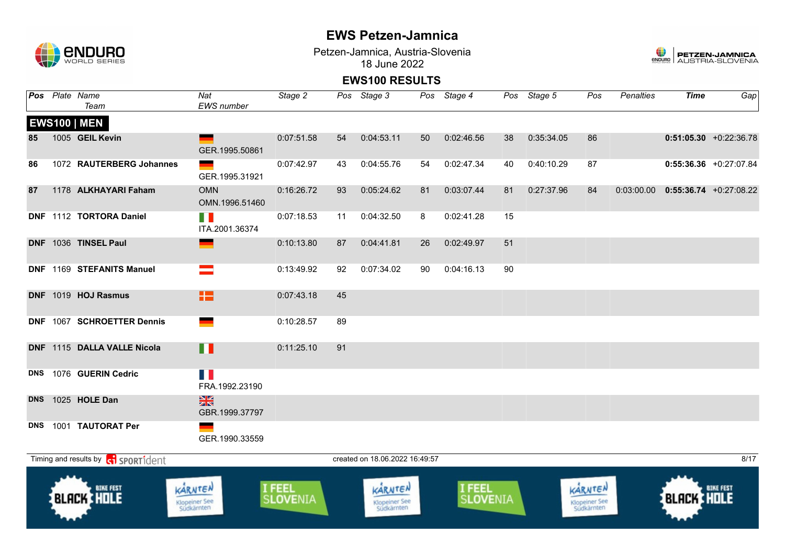

Petzen-Jamnica, Austria-Slovenia 18 June 2022



|    | Pos Plate Name<br>Team                            | Nat<br>EWS number                      | Stage 2            |    | Pos Stage 3                            |    | Pos Stage 4        |    | Pos Stage 5 | Pos                                    | Penalties | <b>Time</b>       | Gap                                     |
|----|---------------------------------------------------|----------------------------------------|--------------------|----|----------------------------------------|----|--------------------|----|-------------|----------------------------------------|-----------|-------------------|-----------------------------------------|
|    | <b>EWS100   MEN</b>                               |                                        |                    |    |                                        |    |                    |    |             |                                        |           |                   |                                         |
| 85 | 1005 GEIL Kevin                                   | GER.1995.50861                         | 0:07:51.58         | 54 | 0:04:53.11                             | 50 | 0:02:46.56         | 38 | 0:35:34.05  | 86                                     |           |                   | $0:51:05.30$ +0:22:36.78                |
| 86 | 1072 RAUTERBERG Johannes                          | GER.1995.31921                         | 0:07:42.97         | 43 | 0:04:55.76                             | 54 | 0:02:47.34         | 40 | 0:40:10.29  | 87                                     |           |                   | $0:55:36.36$ +0:27:07.84                |
| 87 | 1178 ALKHAYARI Faham                              | <b>OMN</b><br>OMN.1996.51460           | 0:16:26.72         | 93 | 0:05:24.62                             | 81 | 0:03:07.44         | 81 | 0:27:37.96  | 84                                     |           |                   | $0:03:00.00$ $0:55:36.74$ $+0:27:08.22$ |
|    | DNF 1112 TORTORA Daniel                           | T N<br>ITA.2001.36374                  | 0:07:18.53         | 11 | 0:04:32.50                             | 8  | 0:02:41.28         | 15 |             |                                        |           |                   |                                         |
|    | DNF 1036 TINSEL Paul                              | <u>e a</u>                             | 0:10:13.80         | 87 | 0:04:41.81                             | 26 | 0:02:49.97         | 51 |             |                                        |           |                   |                                         |
|    | DNF 1169 STEFANITS Manuel                         |                                        | 0:13:49.92         | 92 | 0:07:34.02                             | 90 | 0:04:16.13         | 90 |             |                                        |           |                   |                                         |
|    | DNF 1019 HOJ Rasmus                               | 12                                     | 0:07:43.18         | 45 |                                        |    |                    |    |             |                                        |           |                   |                                         |
|    | DNF 1067 SCHROETTER Dennis                        |                                        | 0:10:28.57         | 89 |                                        |    |                    |    |             |                                        |           |                   |                                         |
|    | DNF 1115 DALLA VALLE Nicola                       | Ш                                      | 0:11:25.10         | 91 |                                        |    |                    |    |             |                                        |           |                   |                                         |
|    | DNS 1076 GUERIN Cedric                            | H I<br>FRA.1992.23190                  |                    |    |                                        |    |                    |    |             |                                        |           |                   |                                         |
|    | DNS 1025 HOLE Dan                                 | $\frac{N}{N}$<br>GBR.1999.37797        |                    |    |                                        |    |                    |    |             |                                        |           |                   |                                         |
|    | DNS 1001 TAUTORAT Per                             | GER.1990.33559                         |                    |    |                                        |    |                    |    |             |                                        |           |                   |                                         |
|    | Timing and results by <b>contains and results</b> |                                        |                    |    | created on 18.06.2022 16:49:57         |    |                    |    |             |                                        |           |                   | 8/17                                    |
|    | <b>BIKE FEST</b><br><b>BLACK HOLE</b>             | KARNTEN<br>Klopeiner See<br>Südkärnten | I FEEL<br>SLOVENIA |    | KARNTEN<br>Klopeiner See<br>Südkärnten |    | I FEEL<br>SLOVENIA |    |             | KARNTEN<br>Klopeiner See<br>Südkärnten |           | <b>BLACK HOLE</b> | <b>BIKE FEST</b>                        |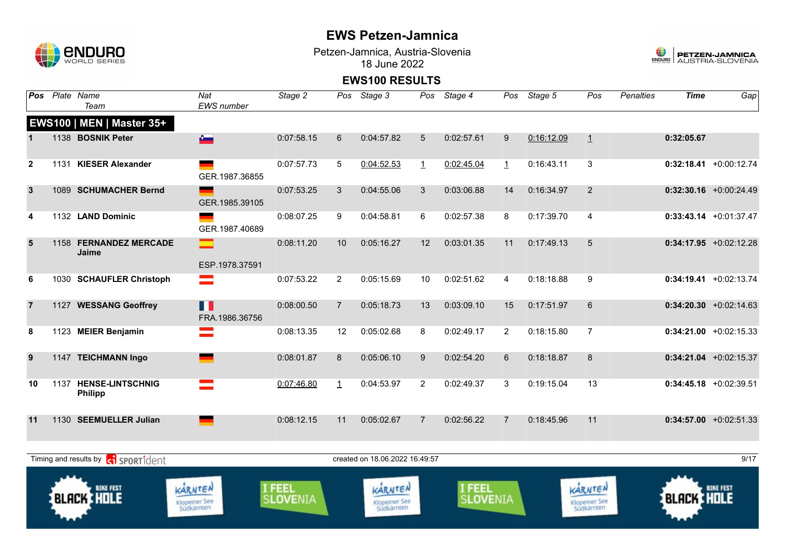

Petzen-Jamnica, Austria-Slovenia 18 June 2022



| Pos            |      | Plate Name<br>Team                                  | Nat<br>EWS number                      | Stage 2            | Pos            | Stage 3                                       | Pos             | Stage 4                   | Pos            | Stage 5    | Pos                                           | <b>Penalties</b> | <b>Time</b>       | Gap                       |
|----------------|------|-----------------------------------------------------|----------------------------------------|--------------------|----------------|-----------------------------------------------|-----------------|---------------------------|----------------|------------|-----------------------------------------------|------------------|-------------------|---------------------------|
|                |      | EWS100   MEN   Master 35+                           |                                        |                    |                |                                               |                 |                           |                |            |                                               |                  |                   |                           |
|                |      | 1138 BOSNIK Peter                                   | $\sim$                                 | 0:07:58.15         | $6\phantom{1}$ | 0:04:57.82                                    | $5\phantom{.0}$ | 0:02:57.61                | 9              | 0:16:12.09 | 1                                             |                  | 0:32:05.67        |                           |
| $\overline{2}$ | 1131 | <b>KIESER Alexander</b>                             | GER.1987.36855                         | 0:07:57.73         | 5              | 0:04:52.53                                    | $\mathbf{1}$    | 0:02:45.04                | $\mathbf{1}$   | 0:16:43.11 | 3                                             |                  |                   | $0:32:18.41 + 0:00:12.74$ |
| $\mathbf{3}$   |      | 1089 SCHUMACHER Bernd                               | GER.1985.39105                         | 0:07:53.25         | $\mathbf{3}$   | 0:04:55.06                                    | 3               | 0:03:06.88                | 14             | 0:16:34.97 | 2                                             |                  |                   | $0:32:30.16$ +0:00:24.49  |
| 4              |      | 1132 LAND Dominic                                   | GER.1987.40689                         | 0:08:07.25         | 9              | 0:04:58.81                                    | 6               | 0:02:57.38                | 8              | 0:17:39.70 | $\overline{4}$                                |                  |                   | $0:33:43.14 +0:01:37.47$  |
| 5              |      | 1158 FERNANDEZ MERCADE<br>Jaime                     | $\equiv$<br>ESP.1978.37591             | 0:08:11.20         | 10             | 0:05:16.27                                    | 12              | 0:03:01.35                | 11             | 0:17:49.13 | 5                                             |                  |                   | $0:34:17.95$ +0:02:12.28  |
| 6              | 1030 | <b>SCHAUFLER Christoph</b>                          | $\equiv$                               | 0:07:53.22         | $\overline{2}$ | 0:05:15.69                                    | 10              | 0:02:51.62                | 4              | 0:18:18.88 | 9                                             |                  |                   | $0:34:19.41 + 0:02:13.74$ |
| $\overline{7}$ |      | 1127 WESSANG Geoffrey                               | n<br>FRA.1986.36756                    | 0:08:00.50         | $\overline{7}$ | 0:05:18.73                                    | 13              | 0:03:09.10                | 15             | 0:17:51.97 | 6                                             |                  |                   | $0:34:20.30 +0:02:14.63$  |
| 8              |      | 1123 MEIER Benjamin                                 | ═                                      | 0:08:13.35         | 12             | 0:05:02.68                                    | 8               | 0:02:49.17                | $\overline{2}$ | 0:18:15.80 | $\overline{7}$                                |                  |                   | $0:34:21.00 +0:02:15.33$  |
| 9              |      | 1147 TEICHMANN Ingo                                 |                                        | 0:08:01.87         | 8              | 0:05:06.10                                    | 9               | 0:02:54.20                | 6              | 0:18:18.87 | 8                                             |                  |                   | $0:34:21.04$ +0:02:15.37  |
| 10             | 1137 | <b>HENSE-LINTSCHNIG</b><br><b>Philipp</b>           |                                        | 0:07:46.80         | $\mathbf{1}$   | 0:04:53.97                                    | $\overline{2}$  | 0:02:49.37                | 3              | 0:19:15.04 | 13                                            |                  |                   | $0:34:45.18$ +0:02:39.51  |
| 11             |      | 1130 SEEMUELLER Julian                              |                                        | 0:08:12.15         | 11             | 0:05:02.67                                    | 7               | 0:02:56.22                | $\overline{7}$ | 0:18:45.96 | 11                                            |                  |                   | $0:34:57.00 +0:02:51.33$  |
|                |      | Timing and results by <b>c</b> o <b>SPORT1</b> dent |                                        |                    |                | created on 18.06.2022 16:49:57                |                 |                           |                |            |                                               |                  |                   | 9/17                      |
|                |      | <b>BIKE FEST</b><br><b>BLACK HOLE</b>               | KARNTEN<br>Klopeiner See<br>Südkärnten | I FEEL<br>SLOVENIA |                | KARNTEN<br><b>Klopeiner See</b><br>Südkärnten |                 | I FEEL<br><b>SLOVENIA</b> |                |            | KARNTEN<br><b>Klopeiner See</b><br>Südkärnten |                  | <b>BLACK HOLE</b> | <b>BIKE FEST</b>          |
|                |      |                                                     |                                        |                    |                |                                               |                 |                           |                |            |                                               |                  |                   |                           |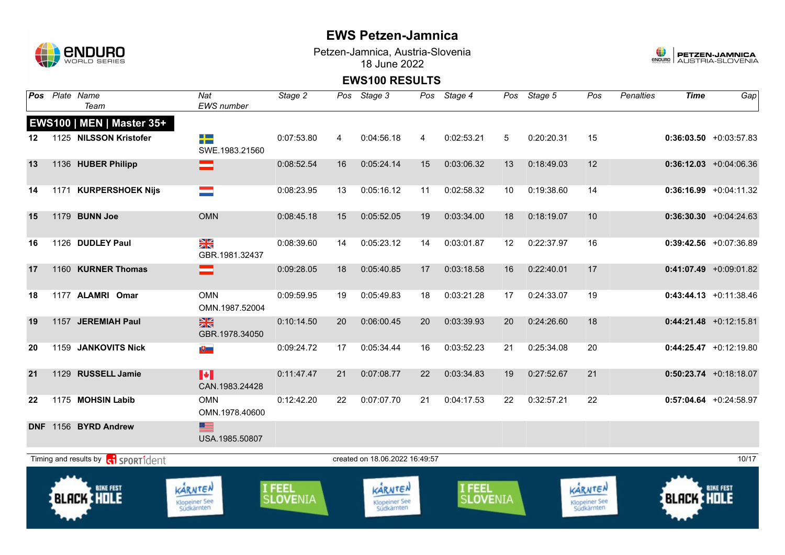

Petzen-Jamnica, Austria-Slovenia 18 June 2022



|         | Pos Plate Name<br>Team                       | Nat<br><b>EWS</b> number               | Stage 2            | Pos | Stage 3                                | Pos | Stage 4                   |    | Pos Stage 5 | Pos                                    | <b>Penalties</b> | <b>Time</b>       | Gap                       |
|---------|----------------------------------------------|----------------------------------------|--------------------|-----|----------------------------------------|-----|---------------------------|----|-------------|----------------------------------------|------------------|-------------------|---------------------------|
|         | EWS100   MEN   Master 35+                    |                                        |                    |     |                                        |     |                           |    |             |                                        |                  |                   |                           |
| $12 \,$ | 1125 NILSSON Kristofer                       | 2 S<br>SWE.1983.21560                  | 0:07:53.80         | 4   | 0:04:56.18                             | 4   | 0:02:53.21                | 5  | 0:20:20.31  | 15                                     |                  |                   | $0:36:03.50 + 0:03:57.83$ |
| 13      | 1136 HUBER Philipp                           | =                                      | 0:08:52.54         | 16  | 0:05:24.14                             | 15  | 0:03:06.32                | 13 | 0:18:49.03  | 12                                     |                  |                   | $0:36:12.03 + 0:04:06.36$ |
| 14      | 1171 KURPERSHOEK Nijs                        | E                                      | 0:08:23.95         | 13  | 0:05:16.12                             | 11  | 0:02:58.32                | 10 | 0:19:38.60  | 14                                     |                  |                   | $0:36:16.99$ +0:04:11.32  |
| 15      | 1179 BUNN Joe                                | <b>OMN</b>                             | 0:08:45.18         | 15  | 0:05:52.05                             | 19  | 0:03:34.00                | 18 | 0:18:19.07  | 10                                     |                  |                   | $0:36:30.30 + 0:04:24.63$ |
| 16      | 1126 DUDLEY Paul                             | $\frac{N}{N}$<br>GBR.1981.32437        | 0:08:39.60         | 14  | 0:05:23.12                             | 14  | 0:03:01.87                | 12 | 0:22:37.97  | 16                                     |                  |                   | $0:39:42.56$ +0:07:36.89  |
| 17      | 1160 KURNER Thomas                           | ═                                      | 0:09:28.05         | 18  | 0:05:40.85                             | 17  | 0:03:18.58                | 16 | 0:22:40.01  | 17                                     |                  |                   | $0:41:07.49$ +0:09:01.82  |
| 18      | 1177 ALAMRI Omar                             | <b>OMN</b><br>OMN.1987.52004           | 0:09:59.95         | 19  | 0:05:49.83                             | 18  | 0:03:21.28                | 17 | 0:24:33.07  | 19                                     |                  |                   | $0:43:44.13 + 0:11:38.46$ |
| 19      | 1157 JEREMIAH Paul                           | $\frac{N}{N}$<br>GBR.1978.34050        | 0:10:14.50         | 20  | 0:06:00.45                             | 20  | 0:03:39.93                | 20 | 0:24:26.60  | 18                                     |                  |                   | $0:44:21.48$ +0:12:15.81  |
| 20      | 1159 JANKOVITS Nick                          | $\overline{\mathbf{t}}$                | 0:09:24.72         | 17  | 0:05:34.44                             | 16  | 0:03:52.23                | 21 | 0:25:34.08  | 20                                     |                  |                   | $0:44:25.47 +0:12:19.80$  |
| 21      | 1129 RUSSELL Jamie                           | H<br>CAN.1983.24428                    | 0:11:47.47         | 21  | 0:07:08.77                             | 22  | 0:03:34.83                | 19 | 0:27:52.67  | 21                                     |                  |                   | $0:50:23.74$ +0:18:18.07  |
| 22      | 1175 MOHSIN Labib                            | <b>OMN</b><br>OMN.1978.40600           | 0:12:42.20         | 22  | 0:07:07.70                             | 21  | 0:04:17.53                | 22 | 0:32:57.21  | 22                                     |                  |                   | $0:57:04.64$ +0:24:58.97  |
|         | DNF 1156 BYRD Andrew                         | ▆▆<br>USA.1985.50807                   |                    |     |                                        |     |                           |    |             |                                        |                  |                   |                           |
|         | Timing and results by <b>c</b> il sportident |                                        |                    |     | created on 18.06.2022 16:49:57         |     |                           |    |             |                                        |                  |                   | 10/17                     |
|         | <b>BIKE FEST</b><br><b>BLACK HOLE</b>        | KARNTEN<br>Klopeiner See<br>Südkärnten | I FEEL<br>SLOVENIA |     | KARNTEN<br>Klopeiner See<br>Südkärnten |     | I FEEL<br><b>SLOVENIA</b> |    |             | KARNTEN<br>Klopeiner See<br>Südkärnten |                  | <b>BLACK HOLE</b> | <b>BIKE FEST</b>          |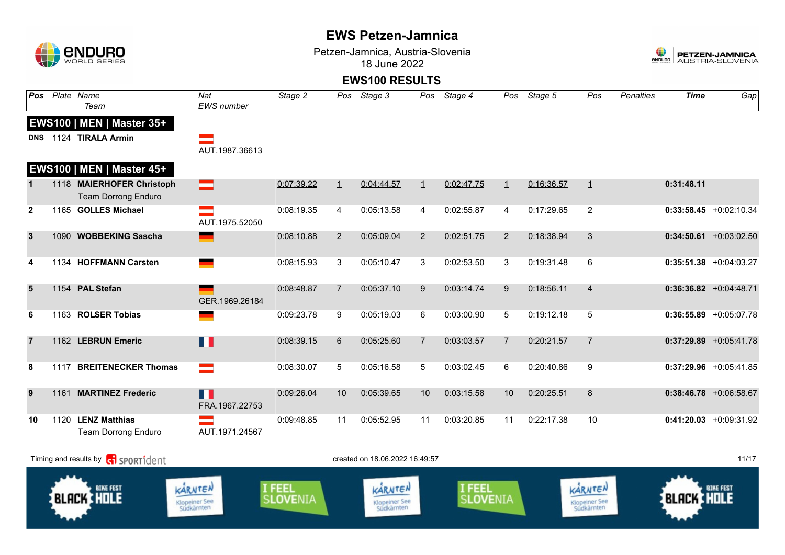| $\Box$         | enduro<br><b>WORLD SERIES</b>                           |                                       |                                |                | Petzen-Jamnica, Austria-Slovenia<br>18 June 2022 |                |                                |                |            |                                 |                  | 0<br><b>ENDURO</b> | PETZEN-JAMNICA<br>AUSTRIA-SLOVENIA |
|----------------|---------------------------------------------------------|---------------------------------------|--------------------------------|----------------|--------------------------------------------------|----------------|--------------------------------|----------------|------------|---------------------------------|------------------|--------------------|------------------------------------|
|                |                                                         |                                       |                                |                | <b>EWS100 RESULTS</b>                            |                |                                |                |            |                                 |                  |                    |                                    |
| <b>Pos</b>     | Plate Name<br>Team                                      | $\overline{Nat}$<br><b>EWS</b> number | Stage 2                        |                | Pos Stage 3                                      | Pos            | Stage 4                        | Pos            | Stage 5    | Pos                             | <b>Penalties</b> | <b>Time</b>        | Gap                                |
|                | <b>EWS100   MEN   Master 35+</b>                        |                                       |                                |                |                                                  |                |                                |                |            |                                 |                  |                    |                                    |
| <b>DNS</b>     | 1124 TIRALA Armin                                       | AUT.1987.36613                        |                                |                |                                                  |                |                                |                |            |                                 |                  |                    |                                    |
|                | EWS100   MEN   Master 45+                               |                                       |                                |                |                                                  |                |                                |                |            |                                 |                  |                    |                                    |
| $\mathbf{1}$   | 1118 MAIERHOFER Christoph<br><b>Team Dorrong Enduro</b> | ═                                     | 0:07:39.22                     | $\perp$        | 0:04:44.57                                       | $\perp$        | 0:02:47.75                     | $\perp$        | 0:16:36.57 | $\overline{1}$                  |                  | 0:31:48.11         |                                    |
| $\mathbf{2}$   | 1165 GOLLES Michael                                     | $\equiv$<br>AUT.1975.52050            | 0:08:19.35                     | 4              | 0:05:13.58                                       | 4              | 0:02:55.87                     | 4              | 0:17:29.65 | $\overline{2}$                  |                  |                    | $0:33:58.45 +0:02:10.34$           |
| $\mathbf{3}$   | 1090 WOBBEKING Sascha                                   | ▀                                     | 0:08:10.88                     | $\overline{2}$ | 0:05:09.04                                       | $\overline{2}$ | 0:02:51.75                     | 2              | 0:18:38.94 | 3                               |                  |                    | $0:34:50.61$ +0:03:02.50           |
| 4              | 1134 HOFFMANN Carsten                                   |                                       | 0:08:15.93                     | 3              | 0:05:10.47                                       | 3              | 0:02:53.50                     | 3              | 0:19:31.48 | 6                               |                  |                    | $0:35:51.38$ +0:04:03.27           |
| $5\phantom{1}$ | 1154 PAL Stefan                                         | GER.1969.26184                        | 0:08:48.87                     | $\overline{7}$ | 0:05:37.10                                       | 9              | 0:03:14.74                     | 9              | 0:18:56.11 | $\overline{4}$                  |                  |                    | $0:36:36.82 + 0:04:48.71$          |
| 6              | 1163 ROLSER Tobias                                      |                                       | 0:09:23.78                     | 9              | 0:05:19.03                                       | 6              | 0:03:00.90                     | 5              | 0:19:12.18 | $\sqrt{5}$                      |                  |                    | $0:36:55.89$ +0:05:07.78           |
| $\overline{7}$ | 1162 LEBRUN Emeric                                      | П                                     | 0:08:39.15                     | 6              | 0:05:25.60                                       | $\overline{7}$ | 0:03:03.57                     | $\overline{7}$ | 0:20:21.57 | $\overline{7}$                  |                  |                    | $0:37:29.89$ +0:05:41.78           |
| 8              | 1117 BREITENECKER Thomas                                | $=$                                   | 0:08:30.07                     | 5              | 0:05:16.58                                       | 5              | 0:03:02.45                     | 6              | 0:20:40.86 | 9                               |                  |                    | $0:37:29.96$ +0:05:41.85           |
| 9              | 1161 MARTINEZ Frederic                                  | П<br>FRA.1967.22753                   | 0:09:26.04                     | 10             | 0:05:39.65                                       | 10             | 0:03:15.58                     | 10             | 0:20:25.51 | 8                               |                  |                    | $0:38:46.78$ +0:06:58.67           |
| 10             | 1120 LENZ Matthias<br><b>Team Dorrong Enduro</b>        | AUT.1971.24567                        | 0:09:48.85                     | 11             | 0:05:52.95                                       | 11             | 0:03:20.85                     | 11             | 0:22:17.38 | 10                              |                  |                    | $0:41:20.03 +0:09:31.92$           |
|                | Timing and results by ci SPORT1dent                     |                                       |                                |                | created on 18.06.2022 16.49.57                   |                |                                |                |            |                                 |                  |                    | 11/17                              |
|                | <b>BIKE FEST</b><br><b>BLACK THOLE</b>                  | KARNTEN<br><b>Klopeiner See</b>       | <b>FEEL</b><br><b>SLOVENIA</b> |                | KARNTEN<br><b>Klopeiner See</b>                  |                | <b>FEEL</b><br><b>SLOVENIA</b> |                |            | KARNTEN<br><b>Klopeiner See</b> |                  | <b>BLACK HOLE</b>  | <b>BIKE FEST</b>                   |



Klopeiner See<br>Südkärnten



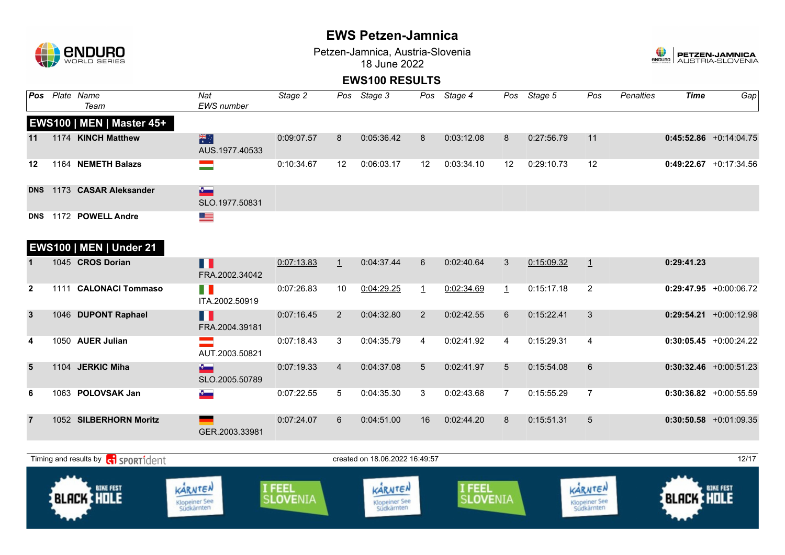

Klopeiner See<br>Südkärnten

### **EWS Petzen-Jamnica**

Petzen-Jamnica, Austria-Slovenia 18 June 2022



### **EWS100 RESULTS**

|                | Pos Plate Name<br>Team                    | Nat<br>EWS number                | Stage 2                   |                | Pos Stage 3                     | Pos          | Stage 4                   |                 | Pos Stage 5 | Pos                             | Penalties | <b>Time</b>       | Gap                      |
|----------------|-------------------------------------------|----------------------------------|---------------------------|----------------|---------------------------------|--------------|---------------------------|-----------------|-------------|---------------------------------|-----------|-------------------|--------------------------|
|                | EWS100   MEN   Master 45+                 |                                  |                           |                |                                 |              |                           |                 |             |                                 |           |                   |                          |
| 11             | 1174 KINCH Matthew                        | 米<br>AUS.1977.40533              | 0:09:07.57                | 8              | 0:05:36.42                      | 8            | 0:03:12.08                | 8               | 0:27:56.79  | 11                              |           |                   | $0:45:52.86$ +0:14:04.75 |
| 12             | 1164 NEMETH Balazs                        | $\equiv$                         | 0:10:34.67                | 12             | 0:06:03.17                      | 12           | 0:03:34.10                | 12              | 0:29:10.73  | 12                              |           |                   | $0:49:22.67$ +0:17:34.56 |
| <b>DNS</b>     | 1173 CASAR Aleksander                     | $\sim$<br>SLO.1977.50831         |                           |                |                                 |              |                           |                 |             |                                 |           |                   |                          |
|                | DNS 1172 POWELL Andre                     | ▀▀                               |                           |                |                                 |              |                           |                 |             |                                 |           |                   |                          |
|                | <b>EWS100   MEN   Under 21</b>            |                                  |                           |                |                                 |              |                           |                 |             |                                 |           |                   |                          |
|                | 1045 CROS Dorian                          | n<br>FRA.2002.34042              | 0:07:13.83                | $\perp$        | 0:04:37.44                      | 6            | 0:02:40.64                | 3               | 0:15:09.32  | $\perp$                         |           | 0:29:41.23        |                          |
| $\mathbf{2}$   | 1111 CALONACI Tommaso                     | $\mathbb{R}^n$<br>ITA.2002.50919 | 0:07:26.83                | 10             | 0:04:29.25                      | $\mathbf{1}$ | 0:02:34.69                | $\mathbf{1}$    | 0:15:17.18  | $\overline{2}$                  |           |                   | $0:29:47.95$ +0:00:06.72 |
| $\mathbf{3}$   | 1046 DUPONT Raphael                       | H<br>FRA.2004.39181              | 0:07:16.45                | $\overline{2}$ | 0:04:32.80                      | 2            | 0:02:42.55                | 6               | 0:15:22.41  | 3                               |           |                   | $0:29:54.21$ +0:00:12.98 |
| 4              | 1050 AUER Julian                          | AUT.2003.50821                   | 0:07:18.43                | 3              | 0:04:35.79                      | 4            | 0:02:41.92                | 4               | 0:15:29.31  | $\overline{4}$                  |           |                   | $0:30:05.45$ +0:00:24.22 |
| $5\phantom{1}$ | 1104 JERKIC Miha                          | $\sim$<br>SLO.2005.50789         | 0:07:19.33                | $\overline{4}$ | 0:04:37.08                      | 5            | 0:02:41.97                | $5\overline{)}$ | 0:15:54.08  | 6                               |           |                   | $0:30:32.46$ +0:00:51.23 |
| 6              | 1063 POLOVSAK Jan                         | $\theta$ .                       | 0:07:22.55                | 5              | 0:04:35.30                      | 3            | 0:02:43.68                | $\overline{7}$  | 0:15:55.29  | $\overline{7}$                  |           |                   | $0:30:36.82$ +0:00:55.59 |
|                | 1052 SILBERHORN Moritz                    | GER.2003.33981                   | 0:07:24.07                | 6              | 0:04:51.00                      | 16           | 0:02:44.20                | 8               | 0:15:51.31  | $5\overline{)}$                 |           |                   | $0:30:50.58$ +0:01:09.35 |
|                | Timing and results by <b>G</b> SPORT1dent |                                  |                           |                | created on 18.06.2022 16.49:57  |              |                           |                 |             |                                 |           |                   | 12/17                    |
|                |                                           |                                  |                           |                |                                 |              |                           |                 |             |                                 |           |                   |                          |
|                | <b>BIKE FEST</b><br><b>BLACK HOLE</b>     | KARNTEN<br><b>Klopeiner See</b>  | I FEEL<br><b>SLOVENIA</b> |                | KARNTEN<br><b>Klopeiner See</b> |              | I FEEL<br><b>SLOVENIA</b> |                 |             | KARNTEN<br><b>Klopeiner See</b> |           | <b>BLACK HOLE</b> | <b>BIKE FEST</b>         |

Klopeiner See<br>Südkärnten

Klopeiner See<br>Südkärnten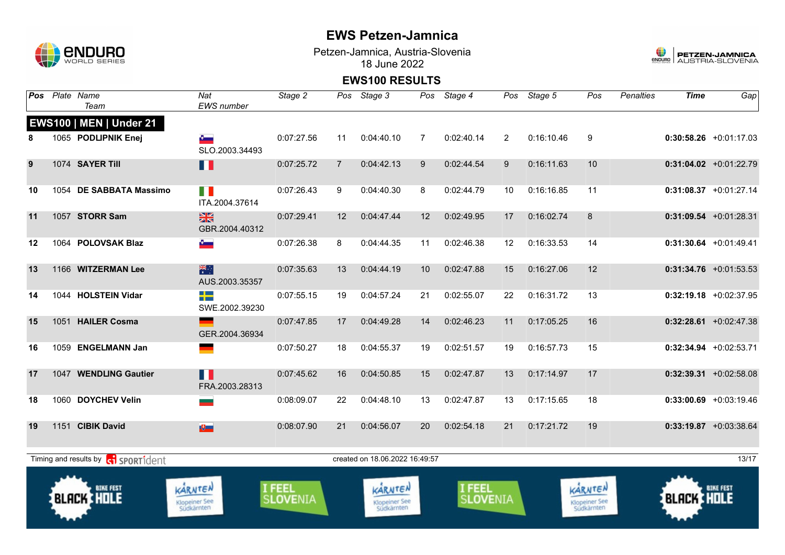

Petzen-Jamnica, Austria-Slovenia 18 June 2022



| Pos | Plate Name<br>Team                          | Nat<br><b>EWS</b> number               | Stage 2            | Pos            | Stage 3                                | Pos | Stage 4            | Pos            | Stage 5    | Pos                                    | <b>Penalties</b> | <b>Time</b>       | Gap                      |
|-----|---------------------------------------------|----------------------------------------|--------------------|----------------|----------------------------------------|-----|--------------------|----------------|------------|----------------------------------------|------------------|-------------------|--------------------------|
|     | <b>EWS100   MEN   Under 21</b>              |                                        |                    |                |                                        |     |                    |                |            |                                        |                  |                   |                          |
| 8   | 1065 PODLIPNIK Enej                         | SLO.2003.34493                         | 0:07:27.56         | 11             | 0:04:40.10                             | 7   | 0:02:40.14         | $\overline{2}$ | 0:16:10.46 | 9                                      |                  |                   | $0:30:58.26 +0:01:17.03$ |
| 9   | 1074 SAYER Till                             | П                                      | 0:07:25.72         | $\overline{7}$ | 0:04:42.13                             | 9   | 0:02:44.54         | 9              | 0:16:11.63 | 10                                     |                  |                   | $0:31:04.02$ +0:01:22.79 |
| 10  | 1054 DE SABBATA Massimo                     | H<br>ITA.2004.37614                    | 0:07:26.43         | 9              | 0:04:40.30                             | 8   | 0:02:44.79         | 10             | 0:16:16.85 | 11                                     |                  |                   | $0:31:08.37$ +0:01:27.14 |
| 11  | 1057 STORR Sam                              | $\frac{2}{3}$<br>GBR.2004.40312        | 0:07:29.41         | 12             | 0:04:47.44                             | 12  | 0:02:49.95         | 17             | 0:16:02.74 | 8                                      |                  |                   | $0:31:09.54$ +0:01:28.31 |
| 12  | 1064 POLOVSAK Blaz                          | $\sigma$                               | 0:07:26.38         | 8              | 0:04:44.35                             | 11  | 0:02:46.38         | $12 \,$        | 0:16:33.53 | 14                                     |                  |                   | $0:31:30.64$ +0:01:49.41 |
| 13  | 1166 WITZERMAN Lee                          | 米村<br>AUS.2003.35357                   | 0:07:35.63         | 13             | 0:04:44.19                             | 10  | 0:02:47.88         | 15             | 0:16:27.06 | 12                                     |                  |                   | $0:31:34.76$ +0:01:53.53 |
| 14  | 1044 HOLSTEIN Vidar                         | ┽<br>SWE.2002.39230                    | 0:07:55.15         | 19             | 0:04:57.24                             | 21  | 0:02:55.07         | 22             | 0:16:31.72 | 13                                     |                  |                   | $0:32:19.18$ +0:02:37.95 |
| 15  | 1051 HAILER Cosma                           | GER.2004.36934                         | 0:07:47.85         | 17             | 0:04:49.28                             | 14  | 0:02:46.23         | 11             | 0:17:05.25 | 16                                     |                  |                   | $0:32:28.61$ +0:02:47.38 |
| 16  | 1059 ENGELMANN Jan                          |                                        | 0:07:50.27         | 18             | 0:04:55.37                             | 19  | 0:02:51.57         | 19             | 0:16:57.73 | 15                                     |                  |                   | $0:32:34.94$ +0:02:53.71 |
| 17  | 1047 WENDLING Gautier                       | Ш<br>FRA.2003.28313                    | 0:07:45.62         | 16             | 0:04:50.85                             | 15  | 0:02:47.87         | 13             | 0:17:14.97 | 17                                     |                  |                   | $0:32:39.31$ +0:02:58.08 |
| 18  | 1060 DOYCHEV Velin                          |                                        | 0:08:09.07         | 22             | 0:04:48.10                             | 13  | 0:02:47.87         | 13             | 0:17:15.65 | 18                                     |                  |                   | $0:33:00.69$ +0:03:19.46 |
| 19  | 1151 CIBIK David                            | $\mathbf{E}$                           | 0:08:07.90         | 21             | 0:04:56.07                             | 20  | 0:02:54.18         | 21             | 0:17:21.72 | 19                                     |                  |                   | $0:33:19.87$ +0:03:38.64 |
|     | Timing and results by <b>c</b> i sportident |                                        |                    |                | created on 18.06.2022 16:49:57         |     |                    |                |            |                                        |                  |                   | 13/17                    |
|     | <b>BIKE FEST</b><br><b>BLACK HOLE</b>       | KARNTEN<br>Klopeiner See<br>Südkärnten | I FEEL<br>SLOVENIA |                | KARNTEN<br>Klopeiner See<br>Südkärnten |     | I FEEL<br>SLOVENIA |                |            | KARNTEN<br>Klopeiner See<br>Südkärnten |                  | <b>BLACK HOLE</b> |                          |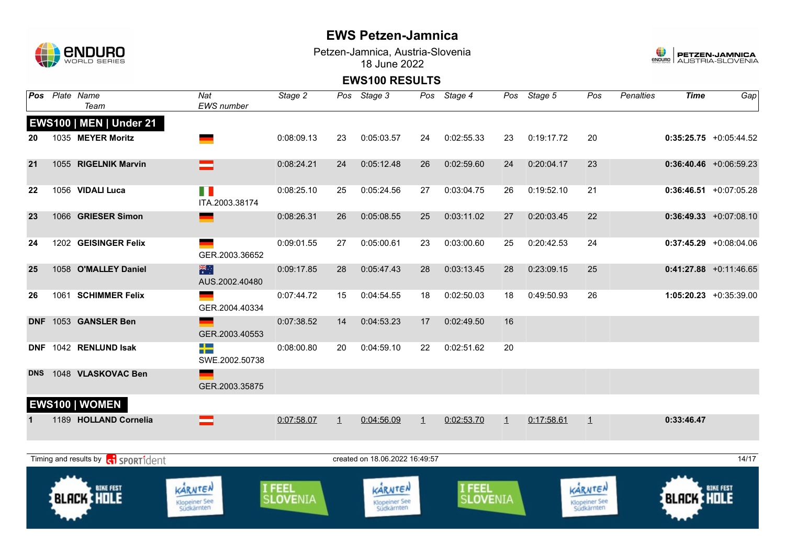

Petzen-Jamnica, Austria-Slovenia 18 June 2022



| Pos        | Plate Name<br>Team                    | Nat<br><b>EWS</b> number               | Stage 2            |              | Pos Stage 3                            |              | Pos Stage 4               |                | Pos Stage 5 | Pos                                    | <b>Penalties</b> | <b>Time</b>       | Gap                       |
|------------|---------------------------------------|----------------------------------------|--------------------|--------------|----------------------------------------|--------------|---------------------------|----------------|-------------|----------------------------------------|------------------|-------------------|---------------------------|
|            | <b>EWS100   MEN   Under 21</b>        |                                        |                    |              |                                        |              |                           |                |             |                                        |                  |                   |                           |
| 20         | 1035 MEYER Moritz                     |                                        | 0:08:09.13         | 23           | 0:05:03.57                             | 24           | 0:02:55.33                | 23             | 0:19:17.72  | 20                                     |                  |                   | $0:35:25.75 + 0:05:44.52$ |
| 21         | 1055 RIGELNIK Marvin                  |                                        | 0:08:24.21         | 24           | 0:05:12.48                             | 26           | 0:02:59.60                | 24             | 0:20:04.17  | 23                                     |                  |                   | $0:36:40.46$ +0:06:59.23  |
| 22         | 1056 VIDALI Luca                      | n n<br>ITA.2003.38174                  | 0:08:25.10         | 25           | 0:05:24.56                             | 27           | 0:03:04.75                | 26             | 0:19:52.10  | 21                                     |                  |                   | $0:36:46.51$ +0:07:05.28  |
| 23         | 1066 GRIESER Simon                    |                                        | 0:08:26.31         | 26           | 0:05:08.55                             | 25           | 0:03:11.02                | 27             | 0:20:03.45  | 22                                     |                  |                   | $0:36:49.33 + 0:07:08.10$ |
| 24         | 1202 GEISINGER Felix                  | GER.2003.36652                         | 0:09:01.55         | 27           | 0:05:00.61                             | 23           | 0:03:00.60                | 25             | 0:20:42.53  | 24                                     |                  |                   | $0:37:45.29$ +0:08:04.06  |
| 25         | 1058 O'MALLEY Daniel                  | 米<br>AUS.2002.40480                    | 0:09:17.85         | 28           | 0:05:47.43                             | 28           | 0:03:13.45                | 28             | 0:23:09.15  | 25                                     |                  |                   | $0:41:27.88$ +0:11:46.65  |
| 26         | 1061 SCHIMMER Felix                   | GER.2004.40334                         | 0:07:44.72         | 15           | 0:04:54.55                             | 18           | 0:02:50.03                | 18             | 0:49:50.93  | 26                                     |                  |                   | 1:05:20.23 +0:35:39.00    |
| <b>DNF</b> | 1053 GANSLER Ben                      | GER.2003.40553                         | 0:07:38.52         | 14           | 0:04:53.23                             | 17           | 0:02:49.50                | 16             |             |                                        |                  |                   |                           |
| <b>DNF</b> | 1042 RENLUND Isak                     | -13<br>SWE.2002.50738                  | 0:08:00.80         | 20           | 0:04:59.10                             | 22           | 0:02:51.62                | 20             |             |                                        |                  |                   |                           |
| <b>DNS</b> | 1048 VLASKOVAC Ben                    | ш,<br>GER.2003.35875                   |                    |              |                                        |              |                           |                |             |                                        |                  |                   |                           |
|            | EWS100   WOMEN                        |                                        |                    |              |                                        |              |                           |                |             |                                        |                  |                   |                           |
|            | 1189 HOLLAND Cornelia                 |                                        | 0:07:58.07         | $\mathbf{1}$ | 0:04:56.09                             | $\mathbf{1}$ | 0:02:53.70                | $\overline{1}$ | 0:17:58.61  | $\mathbf{1}$                           |                  | 0:33:46.47        |                           |
|            | Timing and results by ci SPORT1dent   |                                        |                    |              | created on 18.06.2022 16:49:57         |              |                           |                |             |                                        |                  |                   | 14/17                     |
|            | <b>BIKE FEST</b><br><b>BLACK HOLE</b> | KARNTEN<br>Klopeiner See<br>Südkärnten | I FEEL<br>SLOVENIA |              | KARNTEN<br>Klopeiner See<br>Südkärnten |              | I FEEL<br><b>SLOVENIA</b> |                |             | KARNTEN<br>Klopeiner See<br>Südkärnten |                  | <b>BLACK HOLE</b> | <b>BIKE FEST</b>          |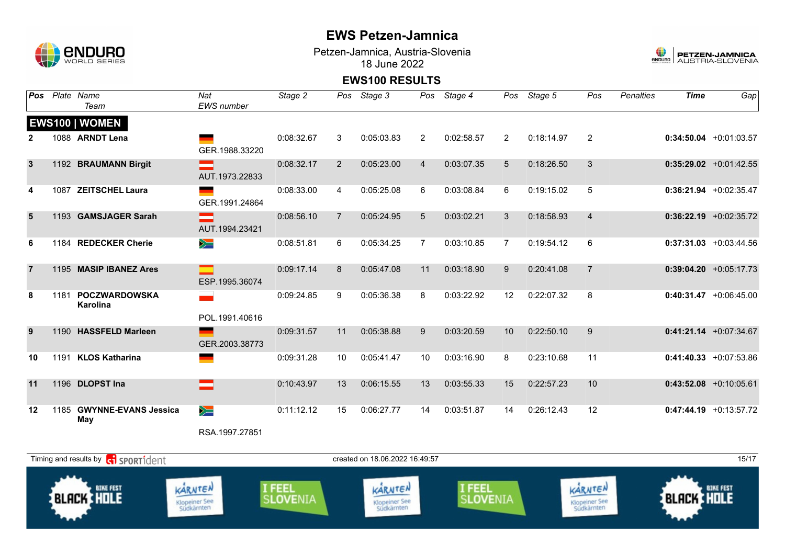

Petzen-Jamnica, Austria-Slovenia 18 June 2022



| <b>Pos</b>   | Plate Name                            | Nat               | Stage 2    |             | Pos Stage 3 |                | Pos Stage 4 |                | Pos Stage 5 | Pos            | <b>Penalties</b> | <b>Time</b> | Gap                       |
|--------------|---------------------------------------|-------------------|------------|-------------|-------------|----------------|-------------|----------------|-------------|----------------|------------------|-------------|---------------------------|
|              | Team                                  | <b>EWS</b> number |            |             |             |                |             |                |             |                |                  |             |                           |
|              | <b>EWS100   WOMEN</b>                 |                   |            |             |             |                |             |                |             |                |                  |             |                           |
| 2            | 1088 ARNDT Lena                       |                   | 0:08:32.67 | 3           | 0:05:03.83  | 2              | 0:02:58.57  | $\mathbf{2}$   | 0:18:14.97  | 2              |                  |             | $0:34:50.04$ +0:01:03.57  |
|              |                                       | GER.1988.33220    |            |             |             |                |             |                |             |                |                  |             |                           |
| $\mathbf{3}$ | 1192 BRAUMANN Birgit                  |                   | 0:08:32.17 | 2           | 0:05:23.00  | $\overline{4}$ | 0:03:07.35  | 5              | 0:18:26.50  | 3              |                  |             | $0:35:29.02$ +0:01:42.55  |
|              |                                       | AUT.1973.22833    |            |             |             |                |             |                |             |                |                  |             |                           |
|              | 1087 ZEITSCHEL Laura                  | GER.1991.24864    | 0:08:33.00 | 4           | 0:05:25.08  | 6              | 0:03:08.84  | 6              | 0:19:15.02  | 5              |                  |             | 0:36:21.94 +0:02:35.47    |
| 5            | 1193 GAMSJAGER Sarah                  |                   | 0:08:56.10 | $7^{\circ}$ | 0:05:24.95  | 5              | 0:03:02.21  | 3              | 0:18:58.93  | $\overline{4}$ |                  |             | $0:36:22.19$ +0:02:35.72  |
|              |                                       | AUT.1994.23421    |            |             |             |                |             |                |             |                |                  |             |                           |
| 6            | 1184 REDECKER Cherie                  | $\geqslant$       | 0:08:51.81 | 6           | 0:05:34.25  | 7              | 0:03:10.85  | $\overline{7}$ | 0:19:54.12  | 6              |                  |             | $0:37:31.03$ +0:03:44.56  |
| 7            | 1195 MASIP IBANEZ Ares                |                   | 0:09:17.14 | 8           | 0:05:47.08  | 11             | 0:03:18.90  | 9              | 0:20:41.08  | $\overline{7}$ |                  |             | $0:39:04.20 +0:05:17.73$  |
|              |                                       | ESP.1995.36074    |            |             |             |                |             |                |             |                |                  |             |                           |
| 8            | 1181 POCZWARDOWSKA<br><b>Karolina</b> |                   | 0:09:24.85 | 9           | 0:05:36.38  | 8              | 0:03:22.92  | 12             | 0:22:07.32  | 8              |                  |             | $0:40:31.47 + 0:06:45.00$ |
|              |                                       | POL.1991.40616    |            |             |             |                |             |                |             |                |                  |             |                           |
| 9            | 1190 HASSFELD Marleen                 |                   | 0:09:31.57 | 11          | 0:05:38.88  | 9              | 0:03:20.59  | 10             | 0:22:50.10  | 9              |                  |             | $0:41:21.14$ +0:07:34.67  |
|              |                                       | GER.2003.38773    |            |             |             |                |             |                |             |                |                  |             |                           |
| 10           | 1191 KLOS Katharina                   |                   | 0:09:31.28 | 10          | 0:05:41.47  | 10             | 0:03:16.90  | 8              | 0:23:10.68  | 11             |                  |             | $0:41:40.33 +0:07:53.86$  |
| 11           | 1196 DLOPST Ina                       |                   | 0:10:43.97 | 13          | 0:06:15.55  | 13             | 0:03:55.33  | 15             | 0:22:57.23  | 10             |                  |             | $0:43:52.08$ +0:10:05.61  |
| 12           | 1185 GWYNNE-EVANS Jessica<br>May      | $\geq$            | 0:11:12.12 | 15          | 0:06:27.77  | 14             | 0:03:51.87  | 14             | 0:26:12.43  | 12             |                  |             | $0:47:44.19 + 0:13:57.72$ |
|              |                                       | RSA.1997.27851    |            |             |             |                |             |                |             |                |                  |             |                           |

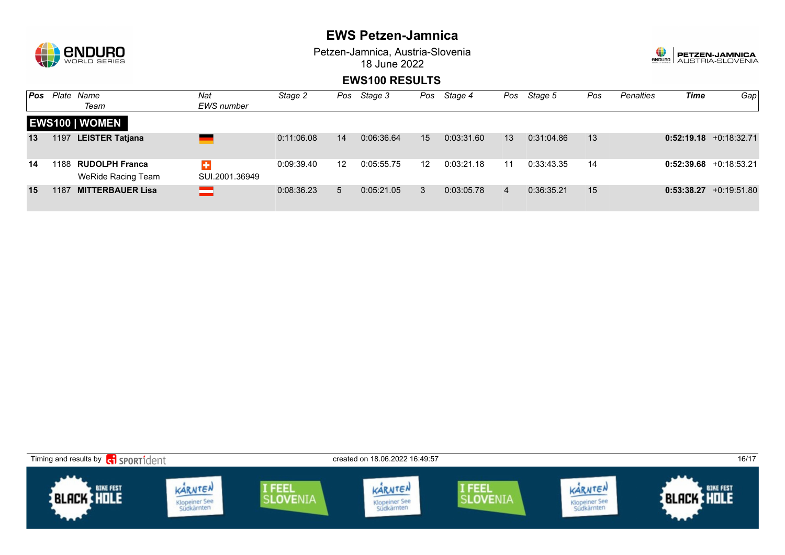

Petzen-Jamnica, Austria-Slovenia 18 June 2022



| Pos |      | Plate Name<br>Team                          | Nat<br>EWS number   | Stage 2    | Pos | Stage 3    | Pos               | Stage 4    | Pos | Stage 5    | Pos | <b>Penalties</b> | Time | Gap                       |
|-----|------|---------------------------------------------|---------------------|------------|-----|------------|-------------------|------------|-----|------------|-----|------------------|------|---------------------------|
|     |      | <b>EWS100   WOMEN</b>                       |                     |            |     |            |                   |            |     |            |     |                  |      |                           |
| 13  | 1197 | <b>LEISTER Tatjana</b>                      |                     | 0:11:06.08 | 14  | 0:06:36.64 | 15                | 0:03:31.60 | 13  | 0:31:04.86 | 13  |                  |      | $0:52:19.18 + 0:18:32.71$ |
| 14  | 1188 | <b>RUDOLPH Franca</b><br>WeRide Racing Team | ÷<br>SUI.2001.36949 | 0:09:39.40 | 12  | 0:05:55.75 | $12 \overline{ }$ | 0:03:21.18 | 11  | 0:33:43.35 | 14  |                  |      | $0:52:39.68$ +0:18:53.21  |
| 15  | 1187 | <b>MITTERBAUER Lisa</b>                     | ═                   | 0:08:36.23 | 5   | 0:05:21.05 | 3                 | 0:03:05.78 | 4   | 0:36:35.21 | 15  |                  |      | $0:53:38.27 +0:19:51.80$  |